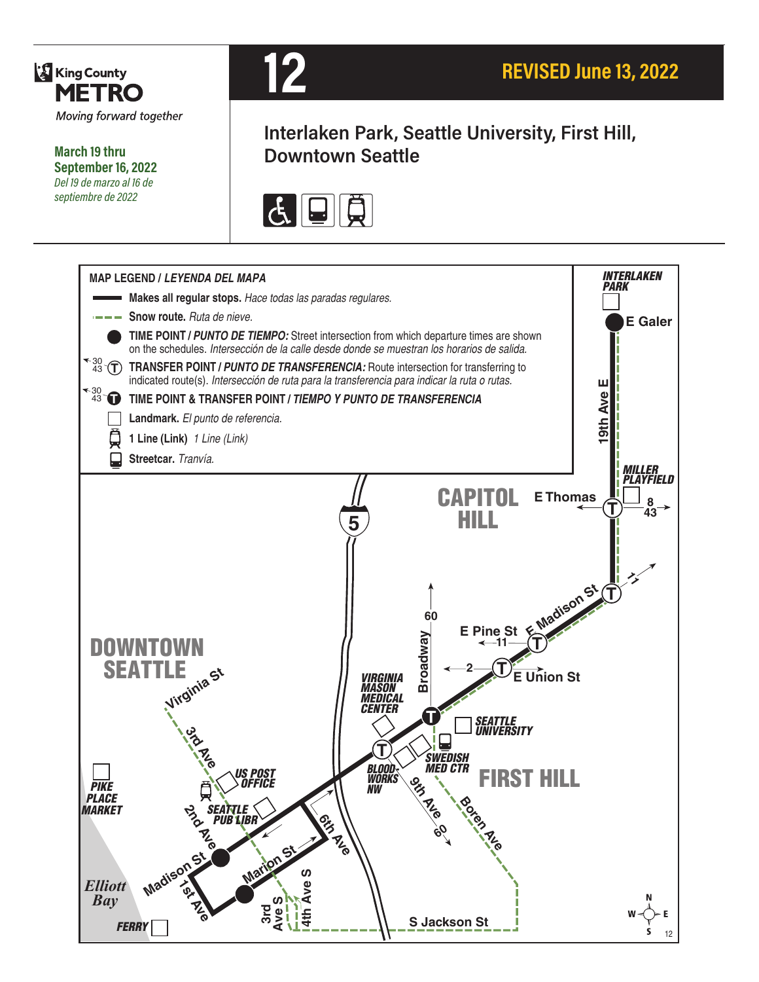

**March 19 thru September 16, 2022** *Del 19 de marzo al 16 de septiembre de 2022*



# **Interlaken Park, Seattle University, First Hill, Downtown Seattle**



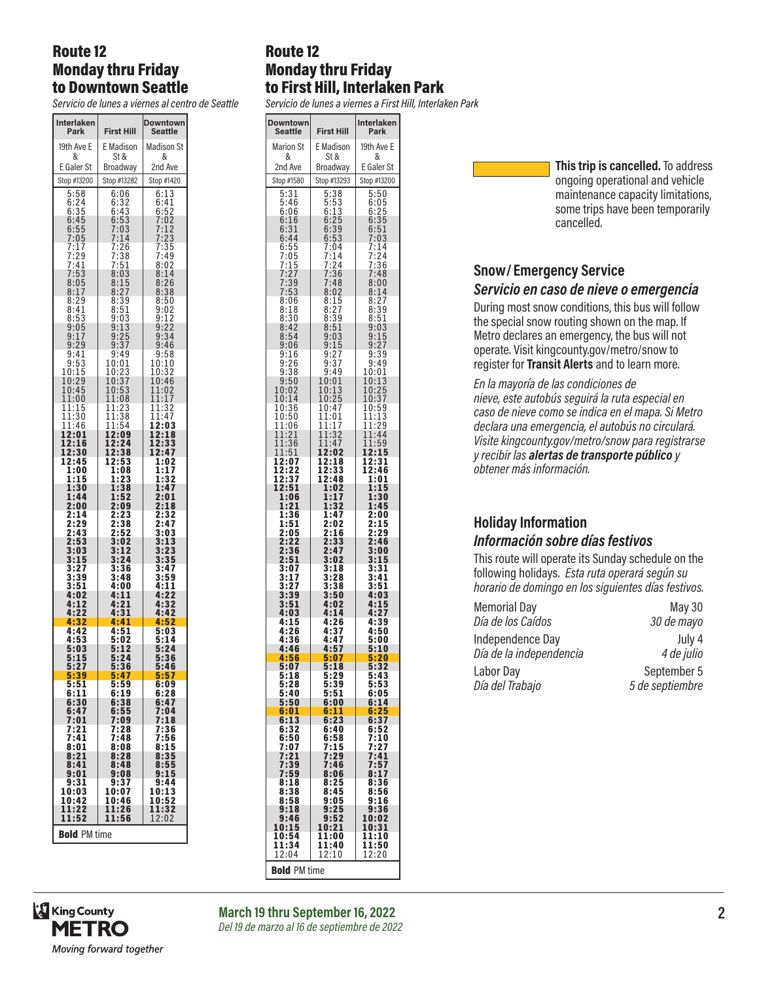#### Route 12 Monday thru Friday to Downtown Seattle

*Servicio de lunes a viernes al centro de Seattle*

| Interlaken<br>Park                   | <b>First Hill</b>                    | Downtown<br>Seattle                                   |
|--------------------------------------|--------------------------------------|-------------------------------------------------------|
| 19th Ave E                           | E Madison                            | <b>Madison St</b>                                     |
| &<br>E Galer St                      | St &<br>Broadway                     | &<br>2nd Ave                                          |
| Stop #13200                          | Stop #13282                          | Stop #1420                                            |
| $\frac{5:58}{6:24}$                  | 6:06                                 | 6:13                                                  |
| 6:35<br>6:45                         | $6:32$<br>$6:43$<br>$6:53$<br>$7:03$ | 6:41<br>6:52                                          |
|                                      |                                      | 7:02<br>7:12                                          |
| $6:55$<br>$7:05$<br>$7:17$<br>$7:20$ |                                      | 7:23<br>7:35<br>7:49                                  |
| $7:29$<br>$7:41$                     | $7:14$<br>$7:26$<br>$7:38$<br>$7:51$ | 8:02                                                  |
| 7:53                                 | 8:03                                 | 8:14                                                  |
| 8<br>:05<br>8:17                     | $\frac{8:15}{8:27}$                  | $\frac{8:26}{8:38}$                                   |
| 8:29<br>8:41                         | $\frac{8:39}{8:51}$                  | 8:50                                                  |
| 8:53<br>9:05                         | $9:03$<br>$9:13$<br>$9:25$<br>$9:37$ |                                                       |
| 9:17                                 |                                      |                                                       |
| 9:29<br>9:41                         | 9:49                                 | 8:50<br>9:02<br>9:12<br>9:22<br>9:34<br>9:58<br>9:58  |
| $\frac{9:53}{10:15}$                 | 10:01<br>$\overline{10}$ :<br>2<br>3 | 10:10<br>$\frac{10:32}{10:46}$                        |
| 10:29<br>10:45                       | 10:<br>37<br>10:53                   |                                                       |
| 11:00<br>11:15                       | 11:08<br>11:23                       | $\begin{array}{c} 11:02 \ 11:17 \end{array}$<br>11:32 |
| $\frac{11:30}{11:46}$                | 11:38                                | 11:47                                                 |
| 12:01                                | 11:54<br>12:09                       | 12:03<br>12:18                                        |
| 12:16<br>12:30                       | 12:24<br>12:38                       | 12:33<br>12:47                                        |
| 12:45<br>1:00                        | 12:53<br>1:08                        | 1:02<br>1:17                                          |
| 1:15<br>1:30                         | 1:23<br>1:38                         | 1:32<br>1:47                                          |
| 1:44                                 | 1:52                                 | 2:01                                                  |
| 2:00<br>2:14                         | 2:09<br>2:23                         | $\overline{2:18}$<br>2:32                             |
| 2:29<br>2:43                         | 2:38<br>2:52                         | 2:47<br>$\bar{3}$ :03                                 |
| 2:53<br>3:03                         | 3:02<br>3:12                         | 3:13<br>$\frac{3!}{23}$                               |
| 3:15<br>3:27                         | 3:24<br>3:36                         | 3:35<br>3:47                                          |
| 3:39                                 | 3:48                                 | 3:59                                                  |
| 3:51<br>4:02                         | 4:00<br>4:11                         | 4:11<br>4:22                                          |
| 4:12<br>4:22                         | 4:21<br>4:31                         | 4:32<br>4:42                                          |
| 4:32<br>4:42                         | 4:41<br>4:51                         | 4:52<br>5:03                                          |
| 4:53<br>5:03                         | 5:02<br>5:12                         | 5:14<br>5:24                                          |
| 5:15<br>5:27                         | 5:24                                 | 5:36<br>5:46                                          |
| 5:39                                 | 5:36<br>5:47                         | 5:57                                                  |
| 5:51<br>6:11                         | 5:59<br>6:19                         | 6:09<br>6:28                                          |
| 6:30<br>6:47                         | 6:38<br>6:55                         | 6:47<br>7:04                                          |
| 7:01<br>7:21                         | 7:09<br>7:28                         | 7:18<br>7:36                                          |
| 7:41<br>8:01                         | 7:48<br>8:08                         | 7:56<br>8:15                                          |
| 8:21                                 | 8:28                                 | 8:35                                                  |
| 8:41<br>9:01                         | 8:48<br>9:08                         | 8:55<br>9:15                                          |
| 9:31<br>10:03                        | 9:37<br>10:07                        | 9:44                                                  |
| 10:42<br>11:22                       | 10:46<br>11:26                       | 10:13<br>10:52<br>11:32                               |
| 11:52                                | 11:56                                | 12:02                                                 |
| <b>Bold</b> PM time                  |                                      |                                                       |

#### Route 12 Monday thru Friday to First Hill, Interlaken Park

*Servicio de lunes a viernes a First Hill, Interlaken Park*

| <b>Downtown</b><br><b>Seattle</b> | <b>First Hill</b>    | Interlaken<br>Park        |
|-----------------------------------|----------------------|---------------------------|
| <b>Marion St</b><br>&             | E Madison<br>St &    | 19th Ave E<br>&           |
| 2nd Ave                           | Broadway             | E Galer St                |
| Stop #1580                        | Stop #13293          | Stop #13200               |
| 5:31<br>5:46                      | 5:38                 | 5:50<br>6:05              |
| 6:06                              | $\frac{5:53}{6:13}$  | 6:25                      |
| 6:16<br>6:31<br>6:44              | 6:25<br>6:39         | 6:35<br>$6:51$<br>$7:03$  |
|                                   | 6:53<br>7:04         | 7:14                      |
| $\frac{6:55}{7:05}$<br>7:05       | $7:14$<br>$7:24$     | 7:24<br>7:36              |
|                                   | 7:36                 | 7:48                      |
| $7:27$<br>$7:39$<br>$7:53$        | 7:48<br>8:02         | 8:00<br>8:14              |
| 8:06<br>8:18                      | 8:15<br>8:27         | 8:27<br>8:39              |
| 8:30<br>8:42                      | 8:39<br>8:51         | 8:51<br>9:03              |
| 8:54                              | $\frac{9:03}{9:15}$  | $9:15$<br>$9:27$          |
| 9:06<br>9:16                      | 9:27                 | 9:39                      |
| $9:26$<br>$9:38$                  | $9:37$<br>$9:49$     | 9:49<br>10:01             |
| 9:50                              | 10:01                | 10:13<br>10:25            |
| 10:02<br>10:14                    | 10:1<br>3<br>10:25   | 10:37                     |
| 10:36<br>10:50                    | 10:47<br>11:01       | 10:59<br>11:13            |
| 11:06<br>11:21                    | 11:17<br>11:32       | 11:29<br>11:44            |
| 11:36                             | 11:47                | 11:59                     |
| 11:51<br>12:07                    | 12:02<br>12:18       | 12:15<br>12:31            |
| 12:22<br>12:37                    | 12:33<br>12:48       | 12:46<br>1:01             |
| 12:51<br>1:06                     | 1:02<br>1:17         | 1:15<br>1:30              |
| 1:21                              | 1:32                 | 1:45                      |
| 1:36<br>1:51                      | 1:47<br>2:02         | 2:00<br>$\overline{2:}15$ |
| 2:05<br>2:22                      | 2:16<br>2:33         | 2:29<br>2:46              |
| 2:36<br>2:51                      | 2:47<br>3:02         | 3:00<br>3:15              |
| 3:07                              | 3:18                 | 3:31                      |
| 3:17<br>3:27                      | 3:28<br>3:38         | 3:41<br>3:51              |
| 3:39<br>3:51                      | 3:50<br>4:02         | 4:03                      |
| 4:03<br>4:15                      | 4:14<br>4:26         | $4:15$<br>$4:27$<br>4:39  |
| 4:26                              | 4:37                 | 4:50                      |
| 4:36<br>4:46                      | 4:47<br>4:57         | 5:00<br>5:10              |
| 4:56<br>5:07                      | 5:07<br>5:18         | 5:20<br>32<br>5:          |
| 5:18<br>5:28                      | 5:29<br>5:39         | 5:43<br>5:53              |
| 5:40<br>5:50                      | 5:51                 | 6:05<br>6:14              |
| 6:01                              | 6:00<br>6:11         | 6:25                      |
| 6:13<br>6:32                      | 6:23<br>6:40         | 6:37<br>6:52              |
| 6:50<br>7:07                      | 6:58                 | 7:10<br>7:27              |
| 7:21                              | 7:15<br>7:29<br>7:46 | 7:41                      |
| 7:39<br>7:59                      | 8:06                 | 7:57<br>8:17              |
| 8:18<br>8:38                      | 8:25<br>8:45         | 8:36<br>8:56              |
| 8:58<br>9:18                      | 9:05<br>9:25         | 9:16<br>9:36              |
| 9:46<br>10:15                     | 9:52<br>10:21        | 10:02<br>10:31            |
| 10:54                             | 11:00                | 11:10                     |
| 11:34<br>12:04                    | 11:40<br>12:10       | 11:50<br>12:20            |
| <b>Bold</b> PM time               |                      |                           |

**This trip is cancelled.** To address ongoing operational and vehicle maintenance capacity limitations, some trips have been temporarily cancelled.

### **Snow/ Emergency Service**  *Servicio en caso de nieve o emergencia*

During most snow conditions, this bus will follow the special snow routing shown on the map. If Metro declares an emergency, the bus will not operate. Visit kingcounty.gov/metro/snow to register for **Transit Alerts** and to learn more.

*En la mayoría de las condiciones de nieve, este autobús seguirá la ruta especial en caso de nieve como se indica en el mapa. Si Metro declara una emergencia, el autobús no circulará. Visite kingcounty.gov/metro/snow para registrarse y recibir las alertas de transporte público y obtener más información.*

# **Holiday Information** *Información sobre días festivos*

This route will operate its Sunday schedule on the following holidays. *Esta ruta operará según su horario de domingo en los siguientes días festivos.*

| <b>Memorial Day</b>     | May 30          |
|-------------------------|-----------------|
| Día de los Caídos       | 30 de mayo      |
| Independence Day        | July 4          |
| Día de la independencia | 4 de julio      |
| Labor Day               | September 5     |
| Día del Trabajo         | 5 de septiembre |